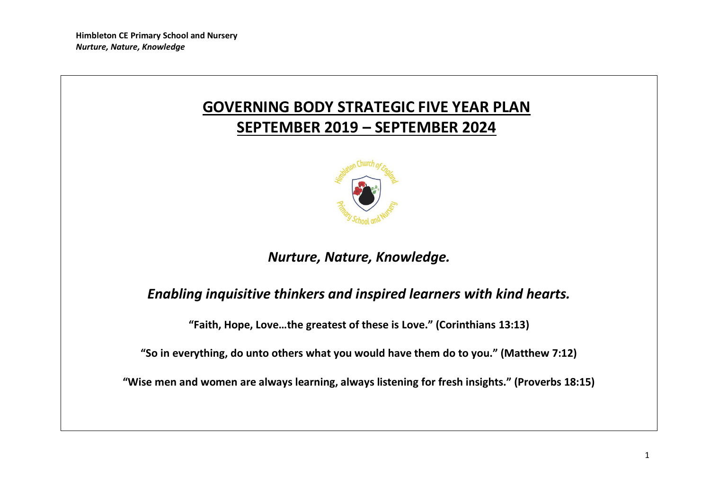# **GOVERNING BODY STRATEGIC FIVE YEAR PLAN SEPTEMBER 2019 – SEPTEMBER 2024**



## *Nurture, Nature, Knowledge.*

## *Enabling inquisitive thinkers and inspired learners with kind hearts.*

**"Faith, Hope, Love…the greatest of these is Love." (Corinthians 13:13)**

**"So in everything, do unto others what you would have them do to you." (Matthew 7:12)**

**"Wise men and women are always learning, always listening for fresh insights." (Proverbs 18:15)**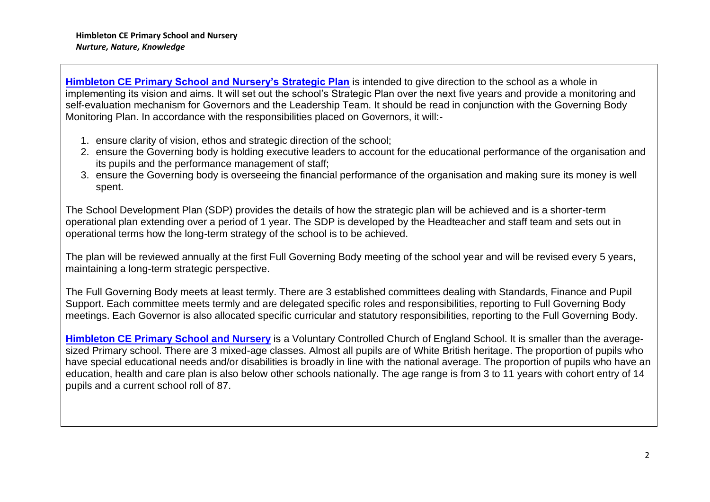**Himbleton CE Primary School and Nursery's Strategic Plan** is intended to give direction to the school as a whole in implementing its vision and aims. It will set out the school's Strategic Plan over the next five years and provide a monitoring and self-evaluation mechanism for Governors and the Leadership Team. It should be read in conjunction with the Governing Body Monitoring Plan. In accordance with the responsibilities placed on Governors, it will:-

- 1. ensure clarity of vision, ethos and strategic direction of the school;
- 2. ensure the Governing body is holding executive leaders to account for the educational performance of the organisation and its pupils and the performance management of staff;
- 3. ensure the Governing body is overseeing the financial performance of the organisation and making sure its money is well spent.

The School Development Plan (SDP) provides the details of how the strategic plan will be achieved and is a shorter-term operational plan extending over a period of 1 year. The SDP is developed by the Headteacher and staff team and sets out in operational terms how the long-term strategy of the school is to be achieved.

The plan will be reviewed annually at the first Full Governing Body meeting of the school year and will be revised every 5 years, maintaining a long-term strategic perspective.

The Full Governing Body meets at least termly. There are 3 established committees dealing with Standards, Finance and Pupil Support. Each committee meets termly and are delegated specific roles and responsibilities, reporting to Full Governing Body meetings. Each Governor is also allocated specific curricular and statutory responsibilities, reporting to the Full Governing Body.

**Himbleton CE Primary School and Nursery** is a Voluntary Controlled Church of England School. It is smaller than the averagesized Primary school. There are 3 mixed-age classes. Almost all pupils are of White British heritage. The proportion of pupils who have special educational needs and/or disabilities is broadly in line with the national average. The proportion of pupils who have an education, health and care plan is also below other schools nationally. The age range is from 3 to 11 years with cohort entry of 14 pupils and a current school roll of 87.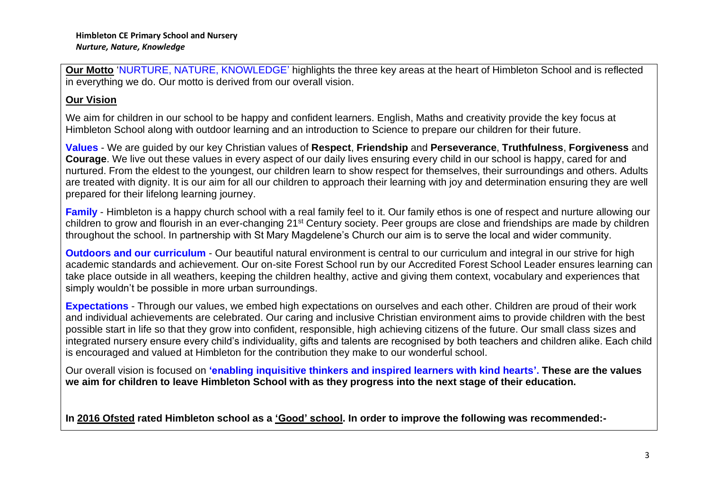**Our Motto** 'NURTURE, NATURE, KNOWLEDGE' highlights the three key areas at the heart of Himbleton School and is reflected in everything we do. Our motto is derived from our overall vision.

## **Our Vision**

We aim for children in our school to be happy and confident learners. English, Maths and creativity provide the key focus at Himbleton School along with outdoor learning and an introduction to Science to prepare our children for their future.

**Values** - We are guided by our key Christian values of **Respect**, **Friendship** and **Perseverance**, **Truthfulness**, **Forgiveness** and **Courage**. We live out these values in every aspect of our daily lives ensuring every child in our school is happy, cared for and nurtured. From the eldest to the youngest, our children learn to show respect for themselves, their surroundings and others. Adults are treated with dignity. It is our aim for all our children to approach their learning with joy and determination ensuring they are well prepared for their lifelong learning journey.

**Family** - Himbleton is a happy church school with a real family feel to it. Our family ethos is one of respect and nurture allowing our children to grow and flourish in an ever-changing 21<sup>st</sup> Century society. Peer groups are close and friendships are made by children throughout the school. In partnership with St Mary Magdelene's Church our aim is to serve the local and wider community.

**Outdoors and our curriculum** - Our beautiful natural environment is central to our curriculum and integral in our strive for high academic standards and achievement. Our on-site Forest School run by our Accredited Forest School Leader ensures learning can take place outside in all weathers, keeping the children healthy, active and giving them context, vocabulary and experiences that simply wouldn't be possible in more urban surroundings.

**Expectations** - Through our values, we embed high expectations on ourselves and each other. Children are proud of their work and individual achievements are celebrated. Our caring and inclusive Christian environment aims to provide children with the best possible start in life so that they grow into confident, responsible, high achieving citizens of the future. Our small class sizes and integrated nursery ensure every child's individuality, gifts and talents are recognised by both teachers and children alike. Each child is encouraged and valued at Himbleton for the contribution they make to our wonderful school.

Our overall vision is focused on **'enabling inquisitive thinkers and inspired learners with kind hearts'. These are the values we aim for children to leave Himbleton School with as they progress into the next stage of their education.** 

**In 2016 Ofsted rated Himbleton school as a 'Good' school. In order to improve the following was recommended:-**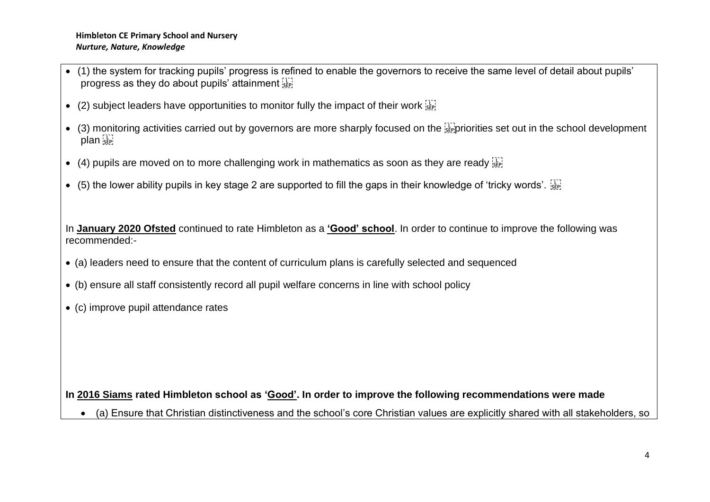- (1) the system for tracking pupils' progress is refined to enable the governors to receive the same level of detail about pupils' progress as they do about pupils' attainment  $\frac{1}{15}$
- (2) subject leaders have opportunities to monitor fully the impact of their work  $\frac{1}{15}$
- $\bullet$  (3) monitoring activities carried out by governors are more sharply focused on the  $\frac{1}{34}$  priorities set out in the school development plan see
- (4) pupils are moved on to more challenging work in mathematics as soon as they are ready  $\frac{17}{35}$
- (5) the lower ability pupils in key stage 2 are supported to fill the gaps in their knowledge of 'tricky words'.  $\frac{177}{355}$

In **January 2020 Ofsted** continued to rate Himbleton as a **'Good' school**. In order to continue to improve the following was recommended:-

- (a) leaders need to ensure that the content of curriculum plans is carefully selected and sequenced
- (b) ensure all staff consistently record all pupil welfare concerns in line with school policy
- (c) improve pupil attendance rates

## **In 2016 Siams rated Himbleton school as 'Good'. In order to improve the following recommendations were made**

• (a) Ensure that Christian distinctiveness and the school's core Christian values are explicitly shared with all stakeholders, so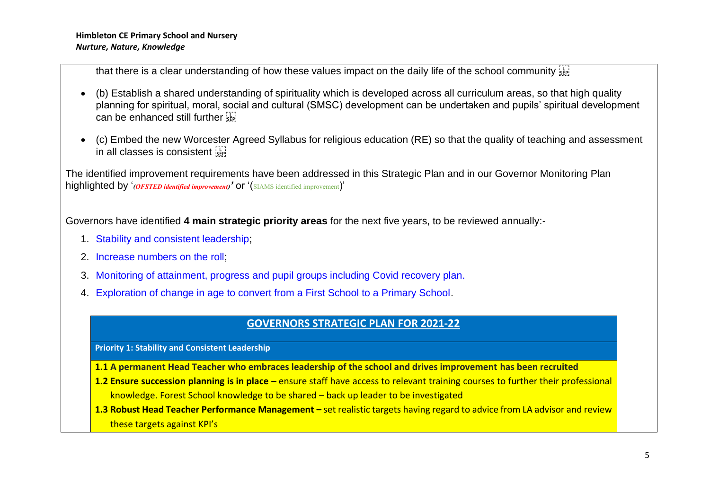that there is a clear understanding of how these values impact on the daily life of the school community seed

- (b) Establish a shared understanding of spirituality which is developed across all curriculum areas, so that high quality planning for spiritual, moral, social and cultural (SMSC) development can be undertaken and pupils' spiritual development can be enhanced still further
- (c) Embed the new Worcester Agreed Syllabus for religious education (RE) so that the quality of teaching and assessment in all classes is consistent see

The identified improvement requirements have been addressed in this Strategic Plan and in our Governor Monitoring Plan highlighted by '*(OFSTED identified improvement)'* or '(SIAMS identified improvement)'

Governors have identified **4 main strategic priority areas** for the next five years, to be reviewed annually:-

- 1. Stability and consistent leadership;
- 2. Increase numbers on the roll;
- 3. Monitoring of attainment, progress and pupil groups including Covid recovery plan.
- 4. Exploration of change in age to convert from a First School to a Primary School.

## **GOVERNORS STRATEGIC PLAN FOR 2021-22**

**Priority 1: Stability and Consistent Leadership**

- **1.1 A permanent Head Teacher who embraces leadership of the school and drives improvement has been recruited**
- **1.2 Ensure succession planning is in place –** ensure staff have access to relevant training courses to further their professional knowledge. Forest School knowledge to be shared – back up leader to be investigated
- 1.3 Robust Head Teacher Performance Management set realistic targets having regard to advice from LA advisor and review these targets against KPI's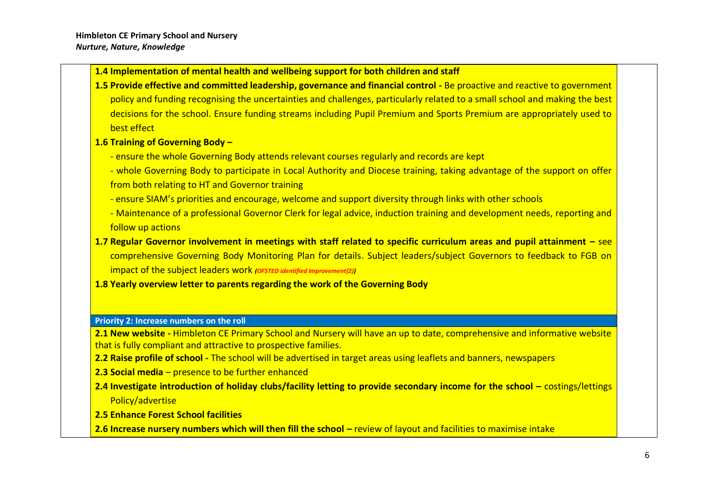#### **1.4 Implementation of mental health and wellbeing support for both children and staff**

**1.5 Provide effective and committed leadership, governance and financial control -** Be proactive and reactive to government policy and funding recognising the uncertainties and challenges, particularly related to a small school and making the best decisions for the school. Ensure funding streams including Pupil Premium and Sports Premium are appropriately used to best effect

#### **1.6 Training of Governing Body –**

- ensure the whole Governing Body attends relevant courses regularly and records are kept
- whole Governing Body to participate in Local Authority and Diocese training, taking advantage of the support on offer from both relating to HT and Governor training
- ensure SIAM's priorities and encourage, welcome and support diversity through links with other schools
- Maintenance of a professional Governor Clerk for legal advice, induction training and development needs, reporting and follow up actions
- **1.7 Regular Governor involvement in meetings with staff related to specific curriculum areas and pupil attainment –** see comprehensive Governing Body Monitoring Plan for details. Subject leaders/subject Governors to feedback to FGB on impact of the subject leaders work *(OFSTED identified improvement(2))*
- **1.8 Yearly overview letter to parents regarding the work of the Governing Body**

#### **Priority 2: Increase numbers on the roll**

**2.1 New website -** Himbleton CE Primary School and Nursery will have an up to date, comprehensive and informative website that is fully compliant and attractive to prospective families.

- **2.2 Raise profile of school -** The school will be advertised in target areas using leaflets and banners, newspapers
- **2.3 Social media**  presence to be further enhanced
- **2.4 Investigate introduction of holiday clubs/facility letting to provide secondary income for the school –** costings/lettings Policy/advertise
- **2.5 Enhance Forest School facilities**
- **2.6 Increase nursery numbers which will then fill the school –** review of layout and facilities to maximise intake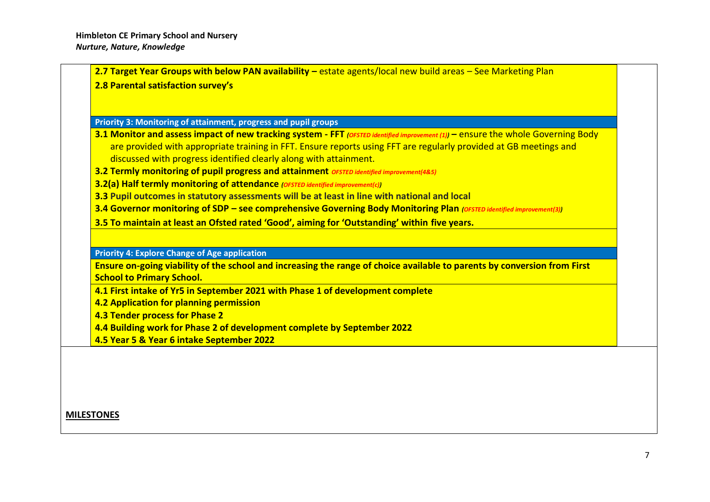| 2.8 Parental satisfaction survey's                                                                                               |
|----------------------------------------------------------------------------------------------------------------------------------|
|                                                                                                                                  |
| Priority 3: Monitoring of attainment, progress and pupil groups                                                                  |
| 3.1 Monitor and assess impact of new tracking system - FFT (OFSTED identified improvement (1)) - ensure the whole Governing Body |
| are provided with appropriate training in FFT. Ensure reports using FFT are regularly provided at GB meetings and                |
| discussed with progress identified clearly along with attainment.                                                                |
| 3.2 Termly monitoring of pupil progress and attainment OFSTED identified improvement(485)                                        |
| 3.2(a) Half termly monitoring of attendance (OFSTED identified improvement(c))                                                   |
| 3.3 Pupil outcomes in statutory assessments will be at least in line with national and local                                     |
| 3.4 Governor monitoring of SDP - see comprehensive Governing Body Monitoring Plan (OFSTED identified improvement(3))             |
| 3.5 To maintain at least an Ofsted rated 'Good', aiming for 'Outstanding' within five years.                                     |
|                                                                                                                                  |
| <b>Priority 4: Explore Change of Age application</b>                                                                             |
| Ensure on-going viability of the school and increasing the range of choice available to parents by conversion from First         |
| <b>School to Primary School.</b>                                                                                                 |
| 4.1 First intake of Yr5 in September 2021 with Phase 1 of development complete                                                   |
| 4.2 Application for planning permission                                                                                          |
| 4.3 Tender process for Phase 2                                                                                                   |
| 4.4 Building work for Phase 2 of development complete by September 2022                                                          |
| 4.5 Year 5 & Year 6 intake September 2022                                                                                        |

**MILESTONES**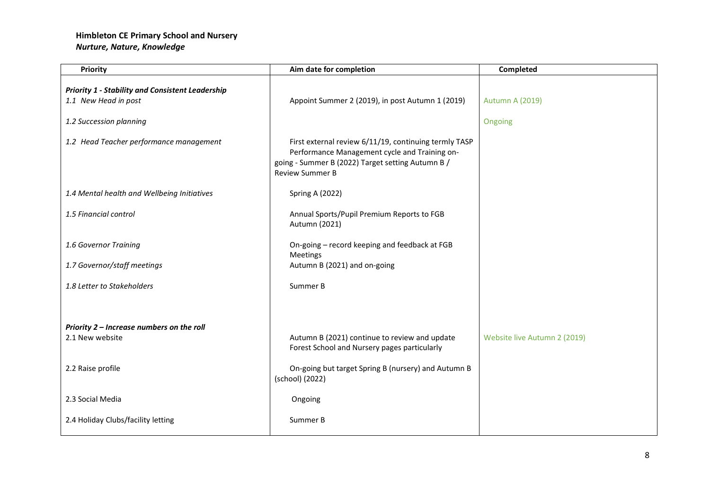| Priority                                                                        | Aim date for completion                                                                                                                                                               | Completed                    |
|---------------------------------------------------------------------------------|---------------------------------------------------------------------------------------------------------------------------------------------------------------------------------------|------------------------------|
| <b>Priority 1 - Stability and Consistent Leadership</b><br>1.1 New Head in post | Appoint Summer 2 (2019), in post Autumn 1 (2019)                                                                                                                                      | <b>Autumn A (2019)</b>       |
| 1.2 Succession planning                                                         |                                                                                                                                                                                       | Ongoing                      |
| 1.2 Head Teacher performance management                                         | First external review 6/11/19, continuing termly TASP<br>Performance Management cycle and Training on-<br>going - Summer B (2022) Target setting Autumn B /<br><b>Review Summer B</b> |                              |
| 1.4 Mental health and Wellbeing Initiatives                                     | <b>Spring A (2022)</b>                                                                                                                                                                |                              |
| 1.5 Financial control                                                           | Annual Sports/Pupil Premium Reports to FGB<br>Autumn (2021)                                                                                                                           |                              |
| 1.6 Governor Training                                                           | On-going - record keeping and feedback at FGB<br>Meetings                                                                                                                             |                              |
| 1.7 Governor/staff meetings                                                     | Autumn B (2021) and on-going                                                                                                                                                          |                              |
| 1.8 Letter to Stakeholders                                                      | Summer B                                                                                                                                                                              |                              |
|                                                                                 |                                                                                                                                                                                       |                              |
| Priority 2 - Increase numbers on the roll                                       |                                                                                                                                                                                       |                              |
| 2.1 New website                                                                 | Autumn B (2021) continue to review and update<br>Forest School and Nursery pages particularly                                                                                         | Website live Autumn 2 (2019) |
| 2.2 Raise profile                                                               | On-going but target Spring B (nursery) and Autumn B<br>(school) (2022)                                                                                                                |                              |
| 2.3 Social Media                                                                | Ongoing                                                                                                                                                                               |                              |
| 2.4 Holiday Clubs/facility letting                                              | Summer B                                                                                                                                                                              |                              |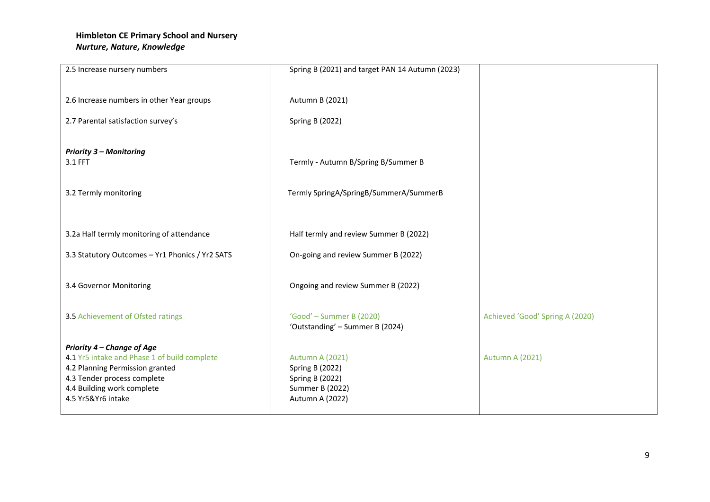| 2.5 Increase nursery numbers                                               | Spring B (2021) and target PAN 14 Autumn (2023) |                                 |
|----------------------------------------------------------------------------|-------------------------------------------------|---------------------------------|
|                                                                            |                                                 |                                 |
| 2.6 Increase numbers in other Year groups                                  | Autumn B (2021)                                 |                                 |
| 2.7 Parental satisfaction survey's                                         | <b>Spring B (2022)</b>                          |                                 |
|                                                                            |                                                 |                                 |
| <b>Priority 3 - Monitoring</b><br>3.1 FFT                                  | Termly - Autumn B/Spring B/Summer B             |                                 |
|                                                                            |                                                 |                                 |
| 3.2 Termly monitoring                                                      | Termly SpringA/SpringB/SummerA/SummerB          |                                 |
|                                                                            |                                                 |                                 |
| 3.2a Half termly monitoring of attendance                                  | Half termly and review Summer B (2022)          |                                 |
|                                                                            |                                                 |                                 |
| 3.3 Statutory Outcomes - Yr1 Phonics / Yr2 SATS                            | On-going and review Summer B (2022)             |                                 |
| 3.4 Governor Monitoring                                                    | Ongoing and review Summer B (2022)              |                                 |
|                                                                            |                                                 |                                 |
| 3.5 Achievement of Ofsted ratings                                          | 'Good' - Summer B (2020)                        | Achieved 'Good' Spring A (2020) |
|                                                                            | 'Outstanding' - Summer B (2024)                 |                                 |
| Priority 4 - Change of Age<br>4.1 Yr5 intake and Phase 1 of build complete | <b>Autumn A (2021)</b>                          | <b>Autumn A (2021)</b>          |
| 4.2 Planning Permission granted                                            | <b>Spring B (2022)</b>                          |                                 |
| 4.3 Tender process complete                                                | Spring B (2022)                                 |                                 |
| 4.4 Building work complete<br>4.5 Yr5&Yr6 intake                           | <b>Summer B (2022)</b><br>Autumn A (2022)       |                                 |
|                                                                            |                                                 |                                 |